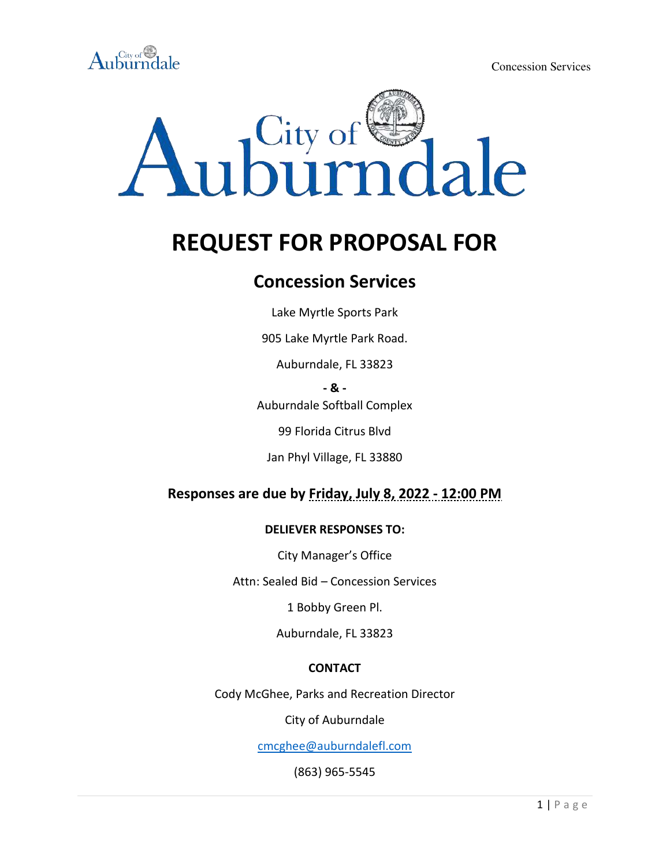



# **REQUEST FOR PROPOSAL FOR**

# **Concession Services**

Lake Myrtle Sports Park

905 Lake Myrtle Park Road.

Auburndale, FL 33823

**- & -** 

Auburndale Softball Complex

99 Florida Citrus Blvd

Jan Phyl Village, FL 33880

# **Responses are due by Friday, July 8, 2022 - 12:00 PM**

#### **DELIEVER RESPONSES TO:**

City Manager's Office

Attn: Sealed Bid – Concession Services

1 Bobby Green Pl.

Auburndale, FL 33823

#### **CONTACT**

Cody McGhee, Parks and Recreation Director

City of Auburndale

[cmcghee@auburndalefl.com](mailto:cmcghee@auburndalefl.com)

(863) 965-5545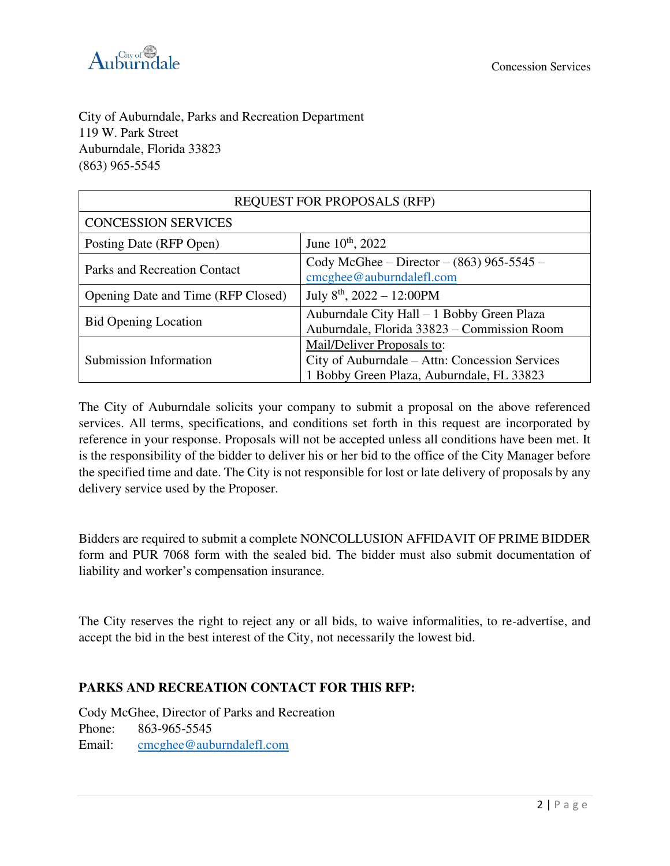

City of Auburndale, Parks and Recreation Department 119 W. Park Street Auburndale, Florida 33823 (863) 965-5545

| <b>REQUEST FOR PROPOSALS (RFP)</b>  |                                                                                                                           |
|-------------------------------------|---------------------------------------------------------------------------------------------------------------------------|
| <b>CONCESSION SERVICES</b>          |                                                                                                                           |
| Posting Date (RFP Open)             | June 10 <sup>th</sup> , 2022                                                                                              |
| <b>Parks and Recreation Contact</b> | Cody McGhee – Director – $(863)$ 965-5545 –<br>$cm$ ghee@auburndalefl.com                                                 |
| Opening Date and Time (RFP Closed)  | July $8^{th}$ , 2022 - 12:00PM                                                                                            |
| <b>Bid Opening Location</b>         | Auburndale City Hall - 1 Bobby Green Plaza<br>Auburndale, Florida 33823 - Commission Room                                 |
| Submission Information              | Mail/Deliver Proposals to:<br>City of Auburndale - Attn: Concession Services<br>1 Bobby Green Plaza, Auburndale, FL 33823 |

The City of Auburndale solicits your company to submit a proposal on the above referenced services. All terms, specifications, and conditions set forth in this request are incorporated by reference in your response. Proposals will not be accepted unless all conditions have been met. It is the responsibility of the bidder to deliver his or her bid to the office of the City Manager before the specified time and date. The City is not responsible for lost or late delivery of proposals by any delivery service used by the Proposer.

Bidders are required to submit a complete NONCOLLUSION AFFIDAVIT OF PRIME BIDDER form and PUR 7068 form with the sealed bid. The bidder must also submit documentation of liability and worker's compensation insurance.

The City reserves the right to reject any or all bids, to waive informalities, to re-advertise, and accept the bid in the best interest of the City, not necessarily the lowest bid.

#### **PARKS AND RECREATION CONTACT FOR THIS RFP:**

Cody McGhee, Director of Parks and Recreation Phone: 863-965-5545 Email: [cmcghee@auburndalefl.com](mailto:cmcghee@auburndalefl.com)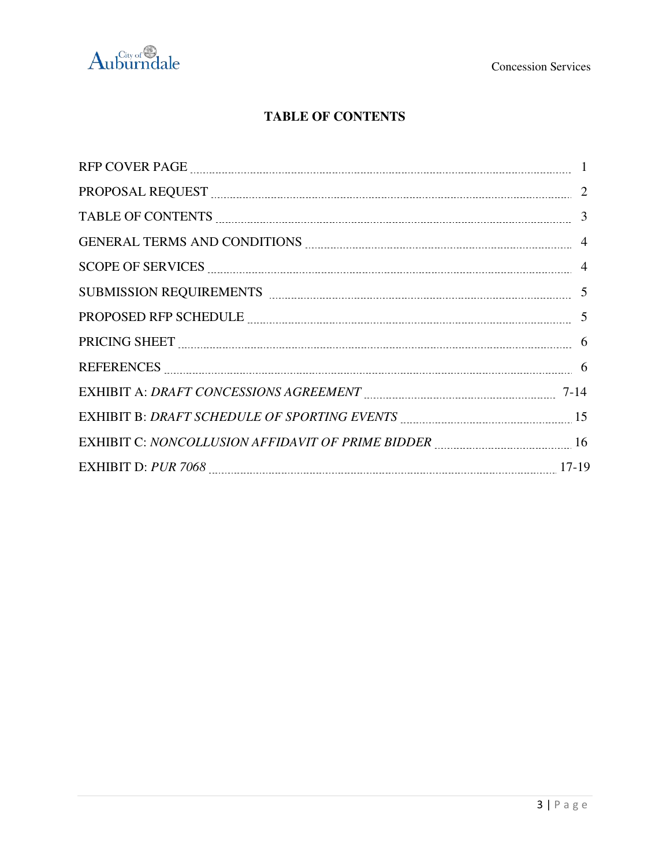

# **TABLE OF CONTENTS**

| PROPOSAL REQUEST MARIE AND RESERVE TO A 2                                                                                                                                                                                     |  |
|-------------------------------------------------------------------------------------------------------------------------------------------------------------------------------------------------------------------------------|--|
|                                                                                                                                                                                                                               |  |
|                                                                                                                                                                                                                               |  |
| SCOPE OF SERVICES <u>COPE OF SERVICES</u> 4                                                                                                                                                                                   |  |
| SUBMISSION REQUIREMENTS Examination and the contract of the state of the state of the state of the state of the state of the state of the state of the state of the state of the state of the state of the state of the state |  |
| PROPOSED RFP SCHEDULE <b><i>manually contained a contained manually contained manual</i></b> 5                                                                                                                                |  |
|                                                                                                                                                                                                                               |  |
|                                                                                                                                                                                                                               |  |
|                                                                                                                                                                                                                               |  |
| EXHIBIT B: DRAFT SCHEDULE OF SPORTING EVENTS MALLET MANUSCONDUCT 15                                                                                                                                                           |  |
| EXHIBIT C: NONCOLLUSION AFFIDAVIT OF PRIME BIDDER MALLER MALLER MALLER 16                                                                                                                                                     |  |
|                                                                                                                                                                                                                               |  |
|                                                                                                                                                                                                                               |  |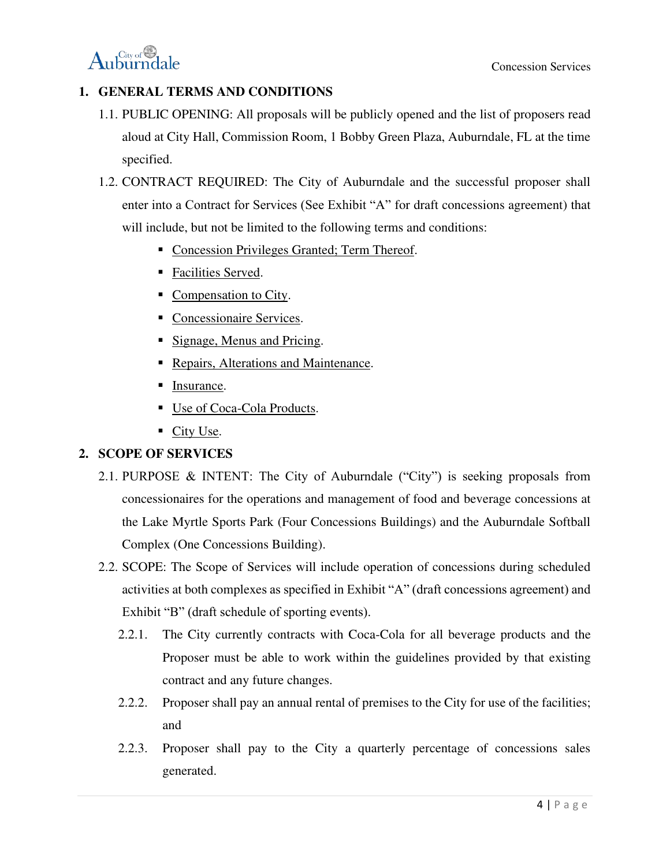$\mathrm{Auburndale}$ 

# **1. GENERAL TERMS AND CONDITIONS**

- 1.1. PUBLIC OPENING: All proposals will be publicly opened and the list of proposers read aloud at City Hall, Commission Room, 1 Bobby Green Plaza, Auburndale, FL at the time specified.
- 1.2. CONTRACT REQUIRED: The City of Auburndale and the successful proposer shall enter into a Contract for Services (See Exhibit "A" for draft concessions agreement) that will include, but not be limited to the following terms and conditions:
	- Concession Privileges Granted; Term Thereof.
	- Facilities Served.
	- Compensation to City.
	- **Concessionaire Services.**
	- Signage, Menus and Pricing.
	- Repairs, Alterations and Maintenance.
	- **■** Insurance.
	- Use of Coca-Cola Products.
	- City Use.

## **2. SCOPE OF SERVICES**

- 2.1. PURPOSE & INTENT: The City of Auburndale ("City") is seeking proposals from concessionaires for the operations and management of food and beverage concessions at the Lake Myrtle Sports Park (Four Concessions Buildings) and the Auburndale Softball Complex (One Concessions Building).
- 2.2. SCOPE: The Scope of Services will include operation of concessions during scheduled activities at both complexes as specified in Exhibit "A" (draft concessions agreement) and Exhibit "B" (draft schedule of sporting events).
	- 2.2.1. The City currently contracts with Coca-Cola for all beverage products and the Proposer must be able to work within the guidelines provided by that existing contract and any future changes.
	- 2.2.2. Proposer shall pay an annual rental of premises to the City for use of the facilities; and
	- 2.2.3. Proposer shall pay to the City a quarterly percentage of concessions sales generated.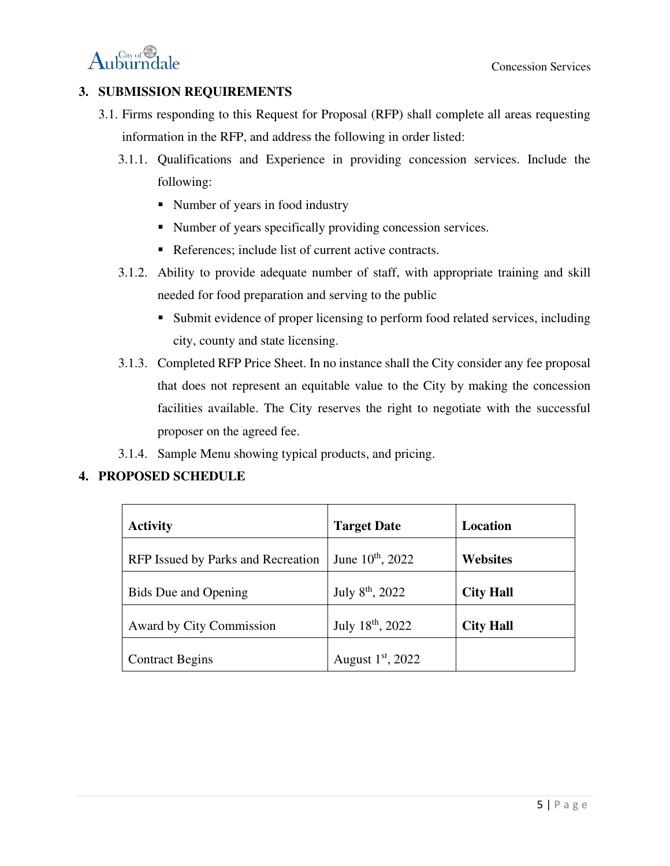

### **3. SUBMISSION REQUIREMENTS**

- 3.1. Firms responding to this Request for Proposal (RFP) shall complete all areas requesting information in the RFP, and address the following in order listed:
	- 3.1.1. Qualifications and Experience in providing concession services. Include the following:
		- Number of years in food industry
		- Number of years specifically providing concession services.
		- References; include list of current active contracts.
	- 3.1.2. Ability to provide adequate number of staff, with appropriate training and skill needed for food preparation and serving to the public
		- Submit evidence of proper licensing to perform food related services, including city, county and state licensing.
	- 3.1.3. Completed RFP Price Sheet. In no instance shall the City consider any fee proposal that does not represent an equitable value to the City by making the concession facilities available. The City reserves the right to negotiate with the successful proposer on the agreed fee.
	- 3.1.4. Sample Menu showing typical products, and pricing.

#### **4. PROPOSED SCHEDULE**

| <b>Activity</b>                    | <b>Target Date</b>           | Location         |
|------------------------------------|------------------------------|------------------|
| RFP Issued by Parks and Recreation | June $10^{th}$ , 2022        | <b>Websites</b>  |
| <b>Bids</b> Due and Opening        | July 8 <sup>th</sup> , 2022  | <b>City Hall</b> |
| Award by City Commission           | July 18 <sup>th</sup> , 2022 | <b>City Hall</b> |
| <b>Contract Begins</b>             | August $1st$ , 2022          |                  |